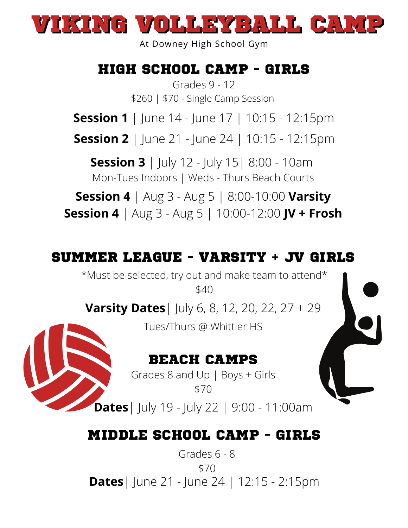

At Downey High School Gym

## HIGH SCHOOL CAMP - GIRLS

Grades 9 - 12 \$260 | \$70 - Single Camp Session

**Session 1** | June 14 - June 17 | 10:15 - 12:15pm

**Session 2** | June 21 - June 24 | 10:15 - 12:15pm

**Session 3** | July 12 - July 15| 8:00 - 10am Mon-Tues Indoors | Weds - Thurs Beach Courts

**Session 4** | Aug 3 - Aug 5 | 8:00-10:00 **Varsity**

**Session 4** | Aug 3 - Aug 5 | 10:00-12:00 **JV + Frosh**

#### SUMMER LEAGUE - VARSITY + JV GIRLS

\*Must be selected, try out and make team to attend\* \$40

**Varsity Dates**| July 6, 8, 12, 20, 22, 27 + 29

Tues/Thurs @ Whittier HS

#### BEACH CAMPS

Grades 8 and Up | Boys + Girls \$70

**Dates**| July 19 - July 22 | 9:00 - 11:00am

#### MIDDLE SCHOOL CAMP - GIRLS

**Dates**| June 21 - June 24 | 12:15 - 2:15pm Grades 6 - 8 \$70